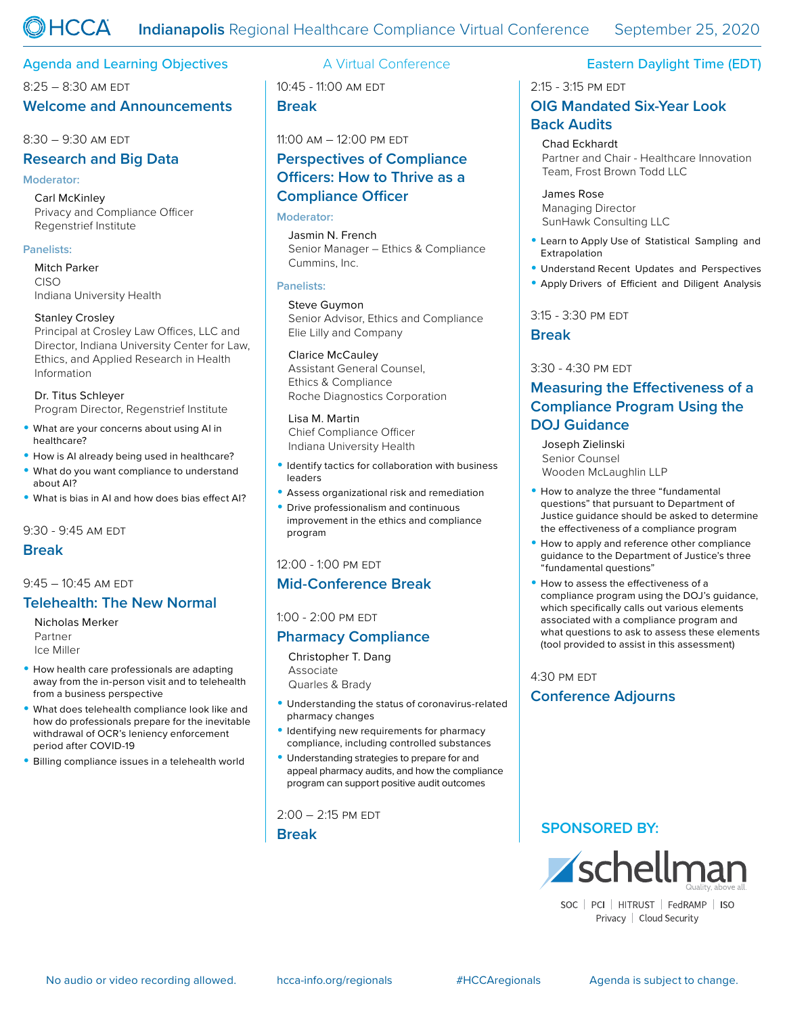## Agenda and Learning Objectives **A** Virtual Conference **Eastern Daylight Time (EDT)**

8:25 – 8:30 am edt

## **Welcome and Announcements**

#### 8:30 – 9:30 am edt

## **Research and Big Data**

#### **Moderator:**

Carl McKinley Privacy and Compliance Officer Regenstrief Institute

### **Panelists:**

Mitch Parker CISO Indiana University Health

#### Stanley Crosley

Principal at Crosley Law Offices, LLC and Director, Indiana University Center for Law, Ethics, and Applied Research in Health Information

Dr. Titus Schleyer Program Director, Regenstrief Institute

- What are your concerns about using AI in healthcare?
- How is AI already being used in healthcare?
- What do you want compliance to understand about AI?
- What is bias in AI and how does bias effect AI?

9:30 - 9:45 am edt

## **Break**

### 9:45 – 10:45 am edt

# **Telehealth: The New Normal**

Nicholas Merker Partner Ice Miller

- How health care professionals are adapting away from the in-person visit and to telehealth from a business perspective
- What does telehealth compliance look like and how do professionals prepare for the inevitable withdrawal of OCR's leniency enforcement period after COVID-19
- Billing compliance issues in a telehealth world

10:45 - 11:00 am edt **Break**

# 11:00 am – 12:00 pm edt **Perspectives of Compliance Officers: How to Thrive as a Compliance Officer**

#### **Moderator:**

Jasmin N. French Senior Manager – Ethics & Compliance Cummins, Inc.

#### **Panelists:**

Steve Guymon Senior Advisor, Ethics and Compliance Elie Lilly and Company

#### Clarice McCauley

Assistant General Counsel, Ethics & Compliance Roche Diagnostics Corporation

#### Lisa M. Martin

Chief Compliance Officer Indiana University Health

- Identify tactics for collaboration with business leaders
- Assess organizational risk and remediation
- Drive professionalism and continuous improvement in the ethics and compliance program

## 12:00 - 1:00 pm edt

# **Mid-Conference Break**

1:00 - 2:00 pm edt

# **Pharmacy Compliance**

Christopher T. Dang Associate Quarles & Brady

- Understanding the status of coronavirus-related pharmacy changes
- Identifying new requirements for pharmacy compliance, including controlled substances
- Understanding strategies to prepare for and appeal pharmacy audits, and how the compliance program can support positive audit outcomes

 $2:00 - 2:15$  PM EDT

**Break** 

2:15 - 3:15 pm edt

## **OIG Mandated Six-Year Look Back Audits**

Chad Eckhardt Partner and Chair - Healthcare Innovation Team, Frost Brown Todd LLC

James Rose Managing Director SunHawk Consulting LLC

- Learn to Apply Use of Statistical Sampling and Extrapolation
- Understand Recent Updates and Perspectives
- Apply Drivers of Efficient and Diligent Analysis

3:15 - 3:30 pm edt

**Break**

## 3:30 - 4:30 pm edt

# **Measuring the Effectiveness of a Compliance Program Using the DOJ Guidance**

Joseph Zielinski Senior Counsel Wooden McLaughlin LLP

- How to analyze the three "fundamental questions" that pursuant to Department of Justice guidance should be asked to determine the effectiveness of a compliance program
- How to apply and reference other compliance guidance to the Department of Justice's three "fundamental questions"
- How to assess the effectiveness of a compliance program using the DOJ's guidance, which specifically calls out various elements associated with a compliance program and what questions to ask to assess these elements (tool provided to assist in this assessment)

## 4:30 pm edt **Conference Adjourns**

# **SPONSORED BY:**



SOC | PCI | HITRUST | FedRAMP | ISO Privacy | Cloud Security